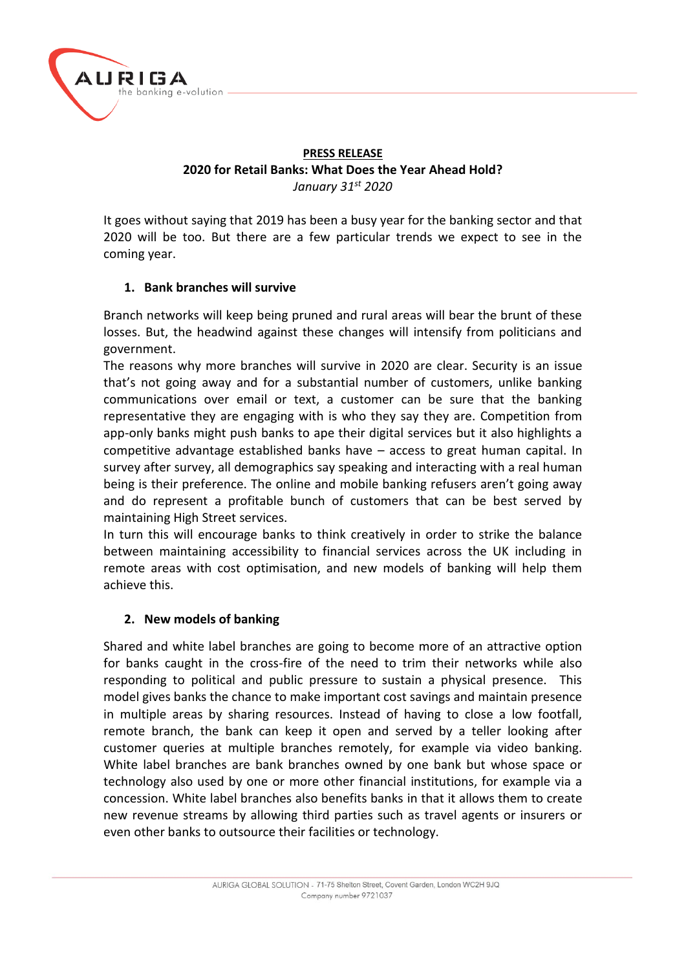

## **PRESS RELEASE 2020 for Retail Banks: What Does the Year Ahead Hold?** *January 31st 2020*

It goes without saying that 2019 has been a busy year for the banking sector and that 2020 will be too. But there are a few particular trends we expect to see in the coming year.

# **1. Bank branches will survive**

Branch networks will keep being pruned and rural areas will bear the brunt of these losses. But, the headwind against these changes will intensify from politicians and government.

The reasons why more branches will survive in 2020 are clear. Security is an issue that's not going away and for a substantial number of customers, unlike banking communications over email or text, a customer can be sure that the banking representative they are engaging with is who they say they are. Competition from app-only banks might push banks to ape their digital services but it also highlights a competitive advantage established banks have – access to great human capital. In survey after survey, all demographics say speaking and interacting with a real human being is their preference. The online and mobile banking refusers aren't going away and do represent a profitable bunch of customers that can be best served by maintaining High Street services.

In turn this will encourage banks to think creatively in order to strike the balance between maintaining accessibility to financial services across the UK including in remote areas with cost optimisation, and new models of banking will help them achieve this.

# **2. New models of banking**

Shared and white label branches are going to become more of an attractive option for banks caught in the cross-fire of the need to trim their networks while also responding to political and public pressure to sustain a physical presence. This model gives banks the chance to make important cost savings and maintain presence in multiple areas by sharing resources. Instead of having to close a low footfall, remote branch, the bank can keep it open and served by a teller looking after customer queries at multiple branches remotely, for example via video banking. White label branches are bank branches owned by one bank but whose space or technology also used by one or more other financial institutions, for example via a concession. White label branches also benefits banks in that it allows them to create new revenue streams by allowing third parties such as travel agents or insurers or even other banks to outsource their facilities or technology.